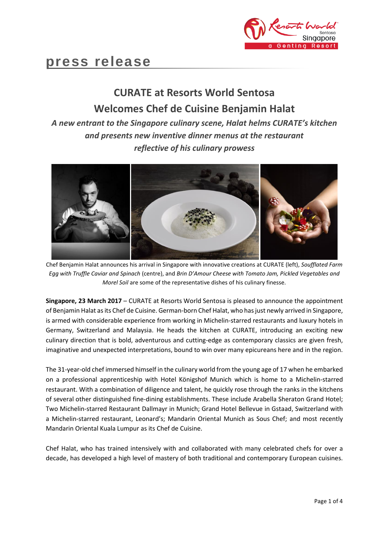

# **press release**

## **CURATE at Resorts World Sentosa Welcomes Chef de Cuisine Benjamin Halat**

### *A new entrant to the Singapore culinary scene, Halat helms CURATE's kitchen and presents new inventive dinner menus at the restaurant reflective of his culinary prowess*



Chef Benjamin Halat announces his arrival in Singapore with innovative creations at CURATE (left), *Soufflated Farm Egg with Truffle Caviar and Spinach* (centre), and *Brin D'Amour Cheese with Tomato Jam, Pickled Vegetables and Morel Soil* are some of the representative dishes of his culinary finesse.

**Singapore, 23 March 2017** – CURATE at Resorts World Sentosa is pleased to announce the appointment of Benjamin Halat as its Chef de Cuisine. German-born Chef Halat, who has just newly arrived in Singapore, is armed with considerable experience from working in Michelin-starred restaurants and luxury hotels in Germany, Switzerland and Malaysia. He heads the kitchen at CURATE, introducing an exciting new culinary direction that is bold, adventurous and cutting-edge as contemporary classics are given fresh, imaginative and unexpected interpretations, bound to win over many epicureans here and in the region.

The 31-year-old chef immersed himself in the culinary world from the young age of 17 when he embarked on a professional apprenticeship with Hotel Königshof Munich which is home to a Michelin-starred restaurant. With a combination of diligence and talent, he quickly rose through the ranks in the kitchens of several other distinguished fine-dining establishments. These include Arabella Sheraton Grand Hotel; Two Michelin-starred Restaurant Dallmayr in Munich; Grand Hotel Bellevue in Gstaad, Switzerland with a Michelin-starred restaurant, Leonard's; Mandarin Oriental Munich as Sous Chef; and most recently Mandarin Oriental Kuala Lumpur as its Chef de Cuisine.

Chef Halat, who has trained intensively with and collaborated with many celebrated chefs for over a decade, has developed a high level of mastery of both traditional and contemporary European cuisines.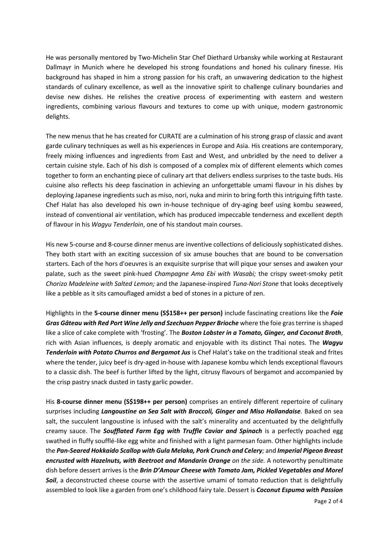He was personally mentored by Two-Michelin Star Chef Diethard Urbansky while working at Restaurant Dallmayr in Munich where he developed his strong foundations and honed his culinary finesse. His background has shaped in him a strong passion for his craft, an unwavering dedication to the highest standards of culinary excellence, as well as the innovative spirit to challenge culinary boundaries and devise new dishes. He relishes the creative process of experimenting with eastern and western ingredients, combining various flavours and textures to come up with unique, modern gastronomic delights.

The new menus that he has created for CURATE are a culmination of his strong grasp of classic and avant garde culinary techniques as well as his experiences in Europe and Asia. His creations are contemporary, freely mixing influences and ingredients from East and West, and unbridled by the need to deliver a certain cuisine style. Each of his dish is composed of a complex mix of different elements which comes together to form an enchanting piece of culinary art that delivers endless surprises to the taste buds. His cuisine also reflects his deep fascination in achieving an unforgettable umami flavour in his dishes by deploying Japanese ingredients such as miso, nori, nuka and mirin to bring forth this intriguing fifth taste. Chef Halat has also developed his own in-house technique of dry-aging beef using kombu seaweed, instead of conventional air ventilation, which has produced impeccable tenderness and excellent depth of flavour in his *Wagyu Tenderloin*, one of his standout main courses.

His new 5-course and 8-course dinner menus are inventive collections of deliciously sophisticated dishes. They both start with an exciting succession of six amuse bouches that are bound to be conversation starters. Each of the hors d'oeuvres is an exquisite surprise that will pique your senses and awaken your palate, such as the sweet pink-hued *Champagne Ama Ebi with Wasabi;* the crispy sweet-smoky petit *Chorizo Madeleine with Salted Lemon;* and the Japanese-inspired *Tuna-Nori Stone* that looks deceptively like a pebble as it sits camouflaged amidst a bed of stones in a picture of zen.

Highlights in the **5-course dinner menu (S\$158++ per person)** include fascinating creations like the *Foie Gras Gâteau with Red Port Wine Jelly and Szechuan Pepper Brioche* where the foie gras terrine is shaped like a slice of cake complete with 'frosting'*.* The *Boston Lobster in a Tomato, Ginger, and Coconut Broth*, rich with Asian influences, is deeply aromatic and enjoyable with its distinct Thai notes*.* The *Wagyu Tenderloin with Potato Churros and Bergamot Jus* is Chef Halat's take on the traditional steak and frites where the tender, juicy beef is dry-aged in-house with Japanese kombu which lends exceptional flavours to a classic dish. The beef is further lifted by the light, citrusy flavours of bergamot and accompanied by the crisp pastry snack dusted in tasty garlic powder.

His **8-course dinner menu (S\$198++ per person)** comprises an entirely different repertoire of culinary surprises including *Langoustine on Sea Salt with Broccoli, Ginger and Miso Hollandaise.* Baked on sea salt, the succulent langoustine is infused with the salt's minerality and accentuated by the delightfully creamy sauce. The *Soufflated Farm Egg with Truffle Caviar and Spinach* is a perfectly poached egg swathed in fluffy soufflé-like egg white and finished with a light parmesan foam. Other highlights include the *Pan-Seared Hokkaido Scallop with Gula Melaka, Pork Crunch and Celery;* and *Imperial Pigeon Breast encrusted with Hazelnuts, with Beetroot and Mandarin Orange on the side.* A noteworthy penultimate dish before dessert arrives is the *Brin D'Amour Cheese with Tomato Jam, Pickled Vegetables and Morel*  **Soil**, a deconstructed cheese course with the assertive umami of tomato reduction that is delightfully assembled to look like a garden from one's childhood fairy tale. Dessert is *Coconut Espuma with Passion*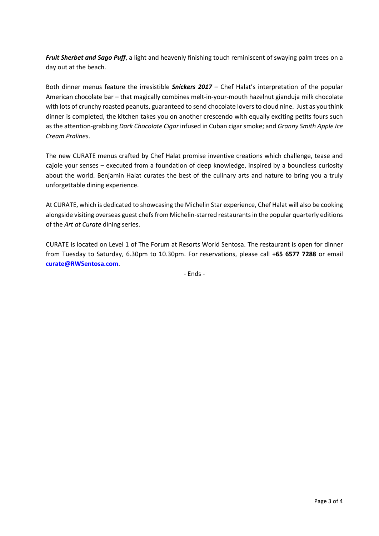*Fruit Sherbet and Sago Puff*, a light and heavenly finishing touch reminiscent of swaying palm trees on a day out at the beach.

Both dinner menus feature the irresistible *Snickers 2017* – Chef Halat's interpretation of the popular American chocolate bar – that magically combines melt-in-your-mouth hazelnut gianduja milk chocolate with lots of crunchy roasted peanuts, guaranteed to send chocolate lovers to cloud nine. Just as you think dinner is completed, the kitchen takes you on another crescendo with equally exciting petits fours such as the attention-grabbing *Dark Chocolate Cigar* infused in Cuban cigar smoke; and *Granny Smith Apple Ice Cream Pralines*.

The new CURATE menus crafted by Chef Halat promise inventive creations which challenge, tease and cajole your senses – executed from a foundation of deep knowledge, inspired by a boundless curiosity about the world. Benjamin Halat curates the best of the culinary arts and nature to bring you a truly unforgettable dining experience.

At CURATE, which is dedicated to showcasing the Michelin Star experience, Chef Halat will also be cooking alongside visiting overseas guest chefs from Michelin-starred restaurants in the popular quarterly editions of the *Art at Curate* dining series.

CURATE is located on Level 1 of The Forum at Resorts World Sentosa. The restaurant is open for dinner from Tuesday to Saturday, 6.30pm to 10.30pm. For reservations, please call **+65 6577 7288** or email **[curate@RWSentosa.com](mailto:curate@RWSentosa.com)**.

- Ends -